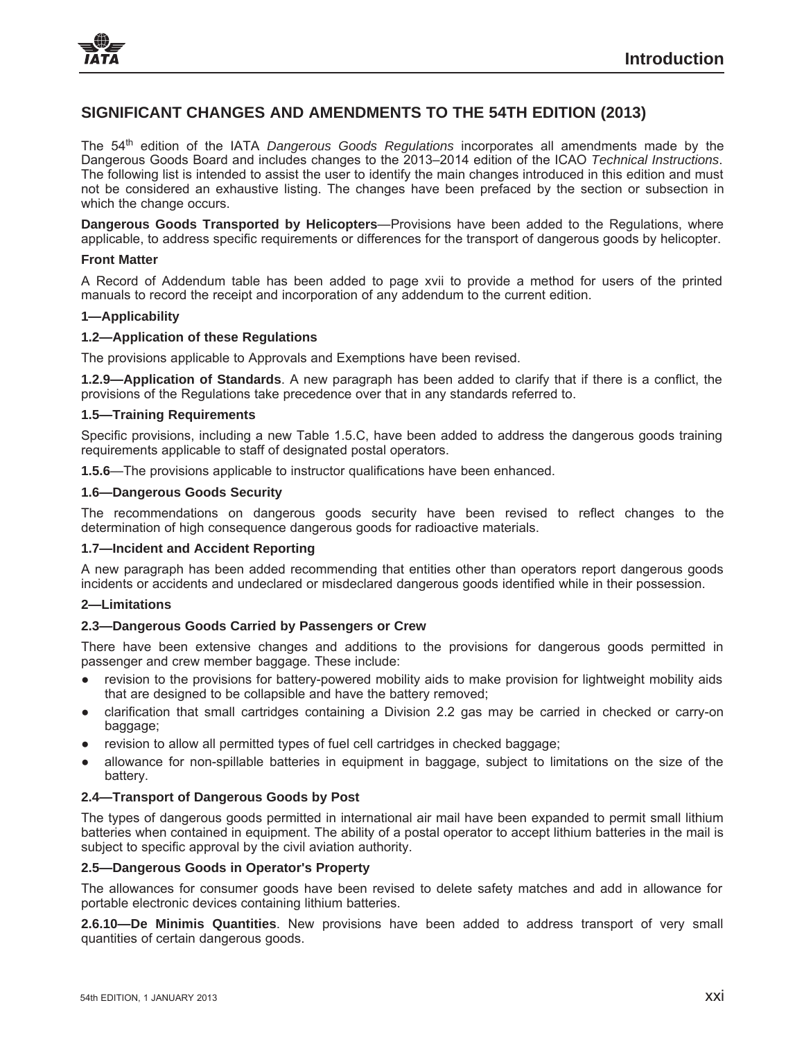

# **SIGNIFICANT CHANGES AND AMENDMENTS TO THE 54TH EDITION (2013)**

The 54th edition of the IATA *Dangerous Goods Regulations* incorporates all amendments made by the Dangerous Goods Board and includes changes to the 2013–2014 edition of the ICAO *Technical Instructions*. The following list is intended to assist the user to identify the main changes introduced in this edition and must not be considered an exhaustive listing. The changes have been prefaced by the section or subsection in which the change occurs.

**Dangerous Goods Transported by Helicopters**—Provisions have been added to the Regulations, where applicable, to address specific requirements or differences for the transport of dangerous goods by helicopter.

### **Front Matter**

A Record of Addendum table has been added to page xvii to provide a method for users of the printed manuals to record the receipt and incorporation of any addendum to the current edition.

### **1—Applicability**

### **1.2—Application of these Regulations**

The provisions applicable to Approvals and Exemptions have been revised.

**1.2.9—Application of Standards**. A new paragraph has been added to clarify that if there is a conflict, the provisions of the Regulations take precedence over that in any standards referred to.

# **1.5—Training Requirements**

Specific provisions, including a new Table 1.5.C, have been added to address the dangerous goods training requirements applicable to staff of designated postal operators.

**1.5.6**—The provisions applicable to instructor qualifications have been enhanced.

### **1.6—Dangerous Goods Security**

The recommendations on dangerous goods security have been revised to reflect changes to the determination of high consequence dangerous goods for radioactive materials.

# **1.7—Incident and Accident Reporting**

A new paragraph has been added recommending that entities other than operators report dangerous goods incidents or accidents and undeclared or misdeclared dangerous goods identified while in their possession.

# **2—Limitations**

# **2.3—Dangerous Goods Carried by Passengers or Crew**

There have been extensive changes and additions to the provisions for dangerous goods permitted in passenger and crew member baggage. These include:

- revision to the provisions for battery-powered mobility aids to make provision for lightweight mobility aids that are designed to be collapsible and have the battery removed;
- clarification that small cartridges containing a Division 2.2 gas may be carried in checked or carry-on baggage;
- revision to allow all permitted types of fuel cell cartridges in checked baggage;
- Ɣ allowance for non-spillable batteries in equipment in baggage, subject to limitations on the size of the battery.

# **2.4—Transport of Dangerous Goods by Post**

The types of dangerous goods permitted in international air mail have been expanded to permit small lithium batteries when contained in equipment. The ability of a postal operator to accept lithium batteries in the mail is subject to specific approval by the civil aviation authority.

### **2.5—Dangerous Goods in Operator's Property**

The allowances for consumer goods have been revised to delete safety matches and add in allowance for portable electronic devices containing lithium batteries.

**2.6.10—De Minimis Quantities**. New provisions have been added to address transport of very small quantities of certain dangerous goods.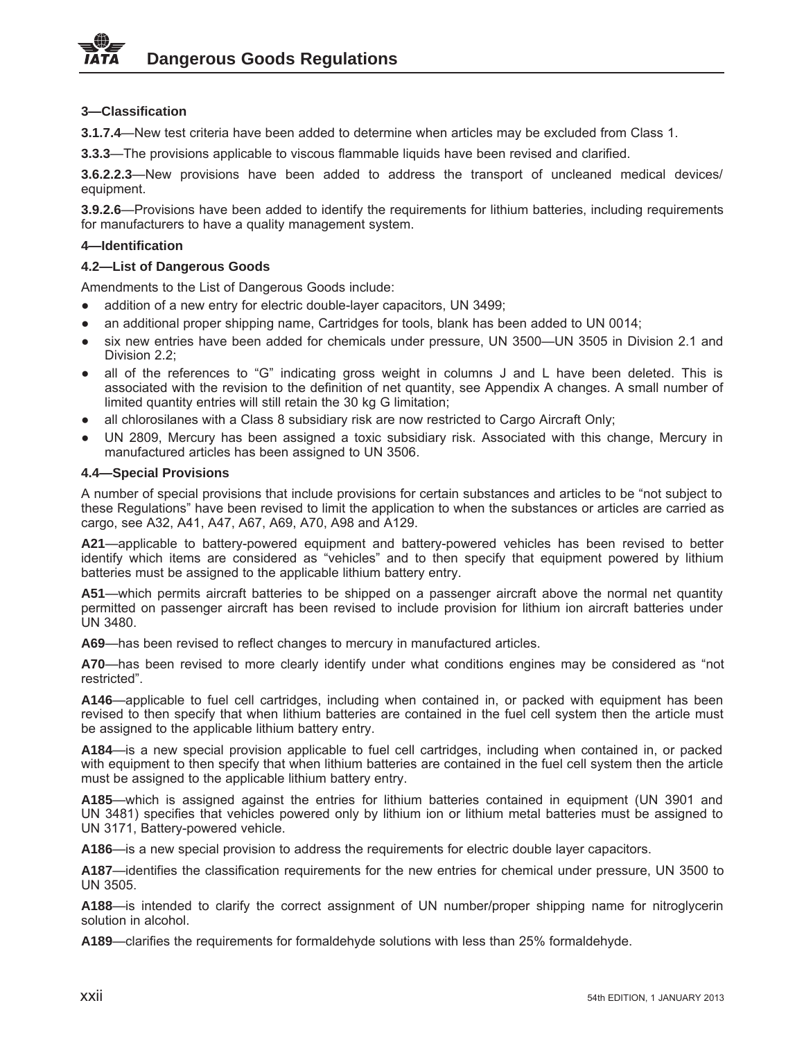# **3—Classification**

**3.1.7.4**—New test criteria have been added to determine when articles may be excluded from Class 1.

**3.3.3**—The provisions applicable to viscous flammable liquids have been revised and clarified.

**3.6.2.2.3**—New provisions have been added to address the transport of uncleaned medical devices/ equipment.

**3.9.2.6**—Provisions have been added to identify the requirements for lithium batteries, including requirements for manufacturers to have a quality management system.

# **4—Identification**

# **4.2—List of Dangerous Goods**

Amendments to the List of Dangerous Goods include:

- addition of a new entry for electric double-layer capacitors, UN 3499;
- an additional proper shipping name, Cartridges for tools, blank has been added to UN 0014;
- six new entries have been added for chemicals under pressure, UN 3500—UN 3505 in Division 2.1 and Division 2.2;
- all of the references to "G" indicating gross weight in columns J and L have been deleted. This is associated with the revision to the definition of net quantity, see Appendix A changes. A small number of limited quantity entries will still retain the 30 kg G limitation;
- all chlorosilanes with a Class 8 subsidiary risk are now restricted to Cargo Aircraft Only;
- UN 2809, Mercury has been assigned a toxic subsidiary risk. Associated with this change, Mercury in manufactured articles has been assigned to UN 3506.

# **4.4—Special Provisions**

A number of special provisions that include provisions for certain substances and articles to be "not subject to these Regulations" have been revised to limit the application to when the substances or articles are carried as cargo, see A32, A41, A47, A67, A69, A70, A98 and A129.

**A21**—applicable to battery-powered equipment and battery-powered vehicles has been revised to better identify which items are considered as "vehicles" and to then specify that equipment powered by lithium batteries must be assigned to the applicable lithium battery entry.

**A51**—which permits aircraft batteries to be shipped on a passenger aircraft above the normal net quantity permitted on passenger aircraft has been revised to include provision for lithium ion aircraft batteries under UN 3480.

**A69**—has been revised to reflect changes to mercury in manufactured articles.

**A70**—has been revised to more clearly identify under what conditions engines may be considered as "not restricted".

**A146**—applicable to fuel cell cartridges, including when contained in, or packed with equipment has been revised to then specify that when lithium batteries are contained in the fuel cell system then the article must be assigned to the applicable lithium battery entry.

**A184**—is a new special provision applicable to fuel cell cartridges, including when contained in, or packed with equipment to then specify that when lithium batteries are contained in the fuel cell system then the article must be assigned to the applicable lithium battery entry.

**A185**—which is assigned against the entries for lithium batteries contained in equipment (UN 3901 and UN 3481) specifies that vehicles powered only by lithium ion or lithium metal batteries must be assigned to UN 3171, Battery-powered vehicle.

**A186**—is a new special provision to address the requirements for electric double layer capacitors.

**A187**—identifies the classification requirements for the new entries for chemical under pressure, UN 3500 to UN 3505.

**A188**—is intended to clarify the correct assignment of UN number/proper shipping name for nitroglycerin solution in alcohol.

**A189**—clarifies the requirements for formaldehyde solutions with less than 25% formaldehyde.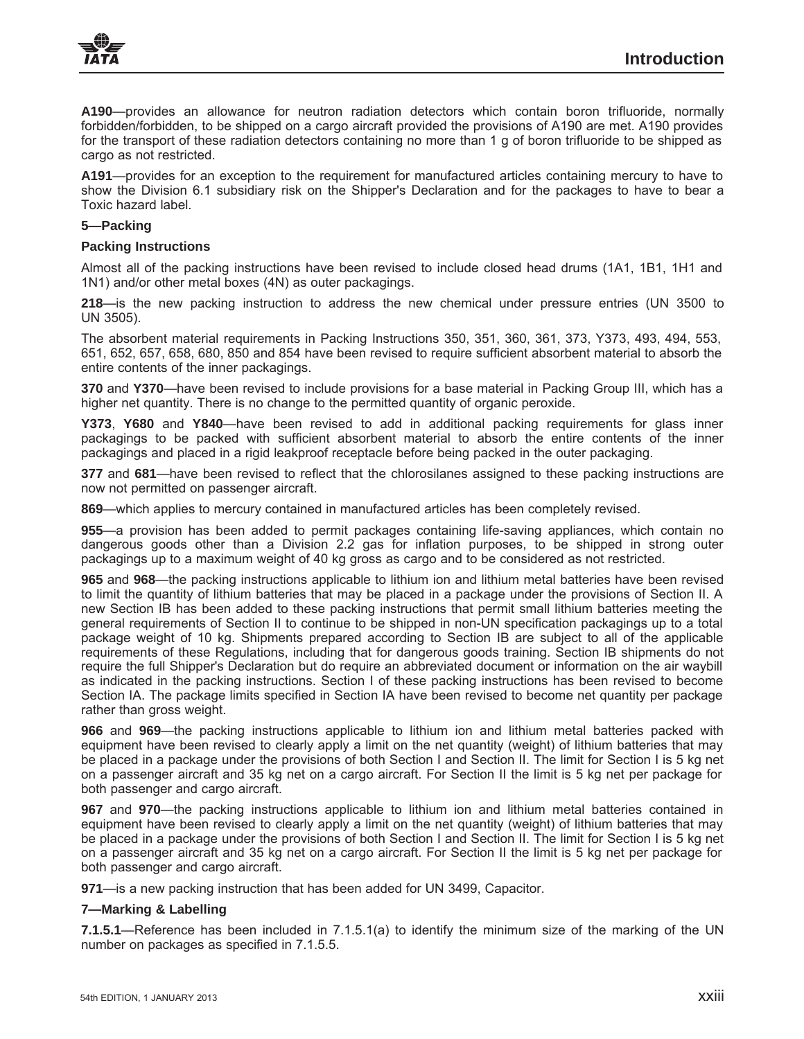

**A190**—provides an allowance for neutron radiation detectors which contain boron trifluoride, normally forbidden/forbidden, to be shipped on a cargo aircraft provided the provisions of A190 are met. A190 provides for the transport of these radiation detectors containing no more than 1 g of boron trifluoride to be shipped as cargo as not restricted.

**A191**—provides for an exception to the requirement for manufactured articles containing mercury to have to show the Division 6.1 subsidiary risk on the Shipper's Declaration and for the packages to have to bear a Toxic hazard label.

#### **5—Packing**

### **Packing Instructions**

Almost all of the packing instructions have been revised to include closed head drums (1A1, 1B1, 1H1 and 1N1) and/or other metal boxes (4N) as outer packagings.

**218**—is the new packing instruction to address the new chemical under pressure entries (UN 3500 to UN 3505).

The absorbent material requirements in Packing Instructions 350, 351, 360, 361, 373, Y373, 493, 494, 553, 651, 652, 657, 658, 680, 850 and 854 have been revised to require sufficient absorbent material to absorb the entire contents of the inner packagings.

**370** and **Y370**—have been revised to include provisions for a base material in Packing Group III, which has a higher net quantity. There is no change to the permitted quantity of organic peroxide.

**Y373**, **Y680** and **Y840**—have been revised to add in additional packing requirements for glass inner packagings to be packed with sufficient absorbent material to absorb the entire contents of the inner packagings and placed in a rigid leakproof receptacle before being packed in the outer packaging.

**377** and **681**—have been revised to reflect that the chlorosilanes assigned to these packing instructions are now not permitted on passenger aircraft.

**869**—which applies to mercury contained in manufactured articles has been completely revised.

**955**—a provision has been added to permit packages containing life-saving appliances, which contain no dangerous goods other than a Division 2.2 gas for inflation purposes, to be shipped in strong outer packagings up to a maximum weight of 40 kg gross as cargo and to be considered as not restricted.

**965** and **968**—the packing instructions applicable to lithium ion and lithium metal batteries have been revised to limit the quantity of lithium batteries that may be placed in a package under the provisions of Section II. A new Section IB has been added to these packing instructions that permit small lithium batteries meeting the general requirements of Section II to continue to be shipped in non-UN specification packagings up to a total package weight of 10 kg. Shipments prepared according to Section IB are subject to all of the applicable requirements of these Regulations, including that for dangerous goods training. Section IB shipments do not require the full Shipper's Declaration but do require an abbreviated document or information on the air waybill as indicated in the packing instructions. Section I of these packing instructions has been revised to become Section IA. The package limits specified in Section IA have been revised to become net quantity per package rather than gross weight.

**966** and **969**—the packing instructions applicable to lithium ion and lithium metal batteries packed with equipment have been revised to clearly apply a limit on the net quantity (weight) of lithium batteries that may be placed in a package under the provisions of both Section I and Section II. The limit for Section I is 5 kg net on a passenger aircraft and 35 kg net on a cargo aircraft. For Section II the limit is 5 kg net per package for both passenger and cargo aircraft.

**967** and **970**—the packing instructions applicable to lithium ion and lithium metal batteries contained in equipment have been revised to clearly apply a limit on the net quantity (weight) of lithium batteries that may be placed in a package under the provisions of both Section I and Section II. The limit for Section I is 5 kg net on a passenger aircraft and 35 kg net on a cargo aircraft. For Section II the limit is 5 kg net per package for both passenger and cargo aircraft.

**971**—is a new packing instruction that has been added for UN 3499, Capacitor.

# **7—Marking & Labelling**

**7.1.5.1**—Reference has been included in 7.1.5.1(a) to identify the minimum size of the marking of the UN number on packages as specified in 7.1.5.5.